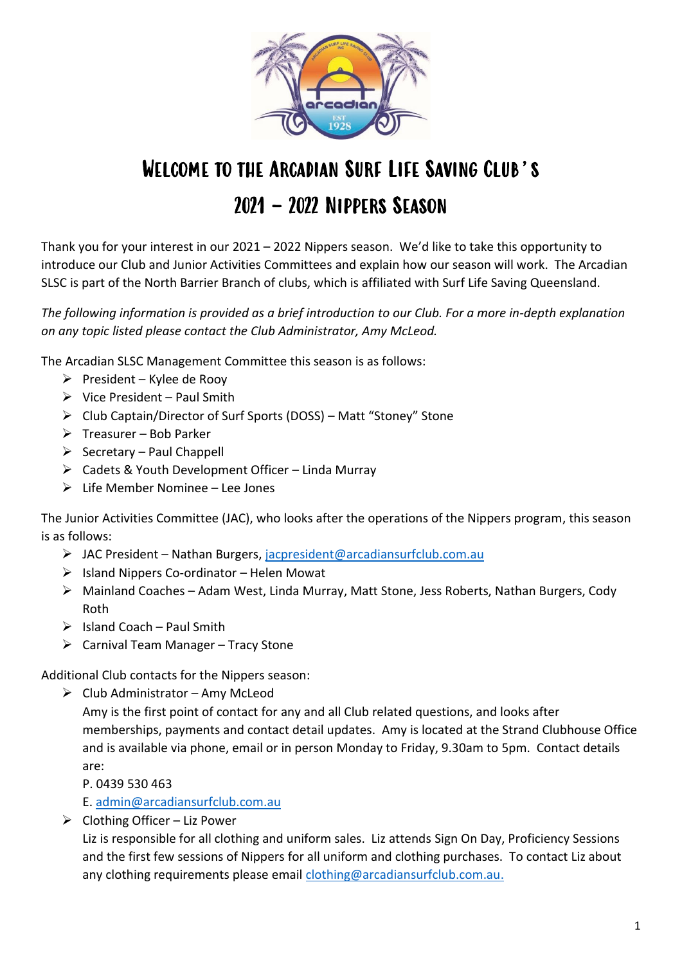

# WELCOME TO THE ARCADIAN SURE LIFE SAVING CLUB'S 2021 – 2022 Nippers Season

Thank you for your interest in our 2021 – 2022 Nippers season. We'd like to take this opportunity to introduce our Club and Junior Activities Committees and explain how our season will work. The Arcadian SLSC is part of the North Barrier Branch of clubs, which is affiliated with Surf Life Saving Queensland.

*The following information is provided as a brief introduction to our Club. For a more in-depth explanation on any topic listed please contact the Club Administrator, Amy McLeod.*

The Arcadian SLSC Management Committee this season is as follows:

- $\triangleright$  President Kylee de Rooy
- $\triangleright$  Vice President Paul Smith
- ➢ Club Captain/Director of Surf Sports (DOSS) Matt "Stoney" Stone
- $\triangleright$  Treasurer Bob Parker
- $\triangleright$  Secretary Paul Chappell
- $\triangleright$  Cadets & Youth Development Officer Linda Murray
- $\triangleright$  Life Member Nominee Lee Jones

The Junior Activities Committee (JAC), who looks after the operations of the Nippers program, this season is as follows:

- ➢ JAC President Nathan Burgers, [jacpresident@arcadiansurfclub.com.au](mailto:jacpresident@arcadiansurfclub.com.au)
- $\triangleright$  Island Nippers Co-ordinator Helen Mowat
- ➢ Mainland Coaches Adam West, Linda Murray, Matt Stone, Jess Roberts, Nathan Burgers, Cody Roth
- $\triangleright$  Island Coach Paul Smith
- $\triangleright$  Carnival Team Manager Tracy Stone

Additional Club contacts for the Nippers season:

 $\triangleright$  Club Administrator – Amy McLeod

Amy is the first point of contact for any and all Club related questions, and looks after memberships, payments and contact detail updates. Amy is located at the Strand Clubhouse Office and is available via phone, email or in person Monday to Friday, 9.30am to 5pm. Contact details are:

P. 0439 530 463

E. [admin@arcadiansurfclub.com.au](mailto:admin@arcadiansurfclub.com.au)

 $\triangleright$  Clothing Officer – Liz Power

Liz is responsible for all clothing and uniform sales. Liz attends Sign On Day, Proficiency Sessions and the first few sessions of Nippers for all uniform and clothing purchases. To contact Liz about any clothing requirements please email [clothing@arcadiansurfclub.com.au.](mailto:clothing@arcadiansurfclub.com.au)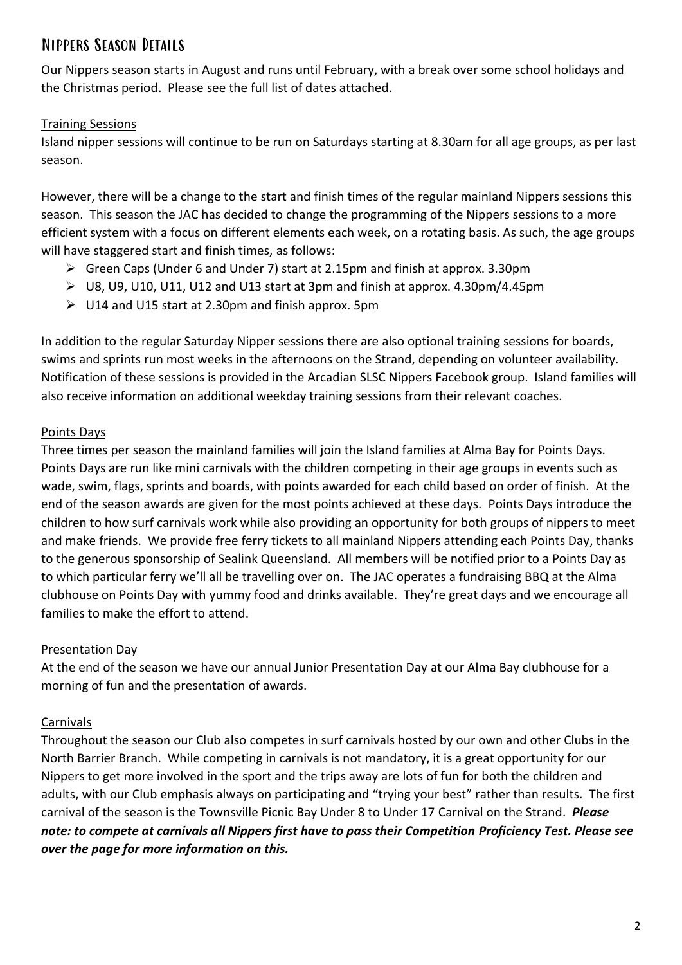# Nippers Season Details

Our Nippers season starts in August and runs until February, with a break over some school holidays and the Christmas period. Please see the full list of dates attached.

## Training Sessions

Island nipper sessions will continue to be run on Saturdays starting at 8.30am for all age groups, as per last season.

However, there will be a change to the start and finish times of the regular mainland Nippers sessions this season. This season the JAC has decided to change the programming of the Nippers sessions to a more efficient system with a focus on different elements each week, on a rotating basis. As such, the age groups will have staggered start and finish times, as follows:

- ➢ Green Caps (Under 6 and Under 7) start at 2.15pm and finish at approx. 3.30pm
- ➢ U8, U9, U10, U11, U12 and U13 start at 3pm and finish at approx. 4.30pm/4.45pm
- $\triangleright$  U14 and U15 start at 2.30pm and finish approx. 5pm

In addition to the regular Saturday Nipper sessions there are also optional training sessions for boards, swims and sprints run most weeks in the afternoons on the Strand, depending on volunteer availability. Notification of these sessions is provided in the Arcadian SLSC Nippers Facebook group. Island families will also receive information on additional weekday training sessions from their relevant coaches.

## Points Days

Three times per season the mainland families will join the Island families at Alma Bay for Points Days. Points Days are run like mini carnivals with the children competing in their age groups in events such as wade, swim, flags, sprints and boards, with points awarded for each child based on order of finish. At the end of the season awards are given for the most points achieved at these days. Points Days introduce the children to how surf carnivals work while also providing an opportunity for both groups of nippers to meet and make friends. We provide free ferry tickets to all mainland Nippers attending each Points Day, thanks to the generous sponsorship of Sealink Queensland. All members will be notified prior to a Points Day as to which particular ferry we'll all be travelling over on. The JAC operates a fundraising BBQ at the Alma clubhouse on Points Day with yummy food and drinks available. They're great days and we encourage all families to make the effort to attend.

## Presentation Day

At the end of the season we have our annual Junior Presentation Day at our Alma Bay clubhouse for a morning of fun and the presentation of awards.

## Carnivals

Throughout the season our Club also competes in surf carnivals hosted by our own and other Clubs in the North Barrier Branch. While competing in carnivals is not mandatory, it is a great opportunity for our Nippers to get more involved in the sport and the trips away are lots of fun for both the children and adults, with our Club emphasis always on participating and "trying your best" rather than results. The first carnival of the season is the Townsville Picnic Bay Under 8 to Under 17 Carnival on the Strand. *Please note: to compete at carnivals all Nippers first have to pass their Competition Proficiency Test. Please see over the page for more information on this.*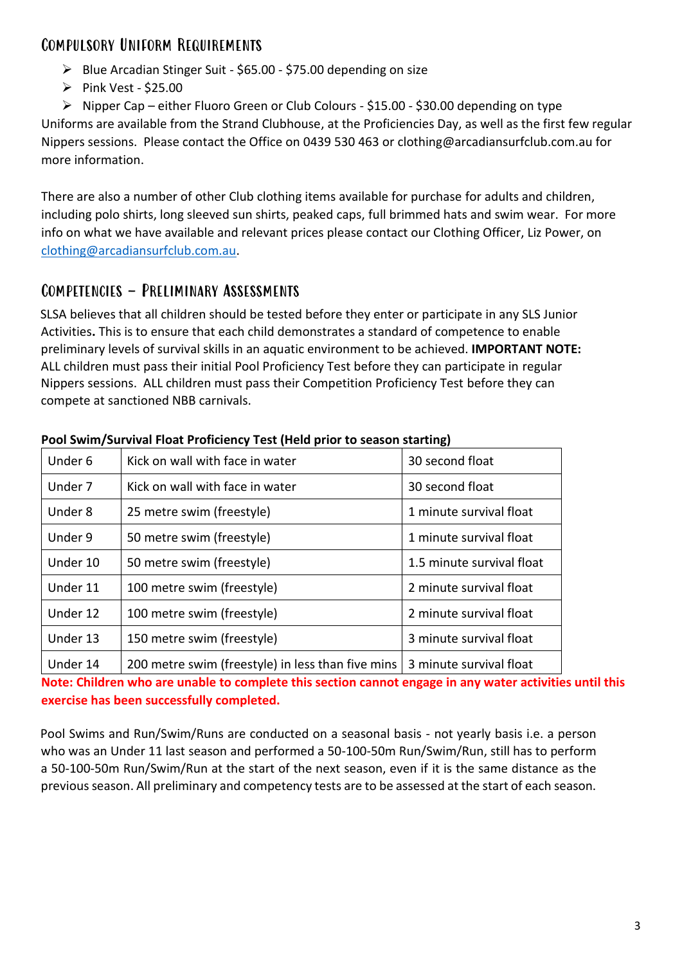# Compulsory Uniform Requirements

- ➢ Blue Arcadian Stinger Suit \$65.00 \$75.00 depending on size
- ➢ Pink Vest \$25.00

➢ Nipper Cap – either Fluoro Green or Club Colours - \$15.00 - \$30.00 depending on type Uniforms are available from the Strand Clubhouse, at the Proficiencies Day, as well as the first few regular Nippers sessions. Please contact the Office on 0439 530 463 or clothing@arcadiansurfclub.com.au for more information.

There are also a number of other Club clothing items available for purchase for adults and children, including polo shirts, long sleeved sun shirts, peaked caps, full brimmed hats and swim wear. For more info on what we have available and relevant prices please contact our Clothing Officer, Liz Power, on [clothing@arcadiansurfclub.com.au.](mailto:clothing@arcadiansurfclub.com.au)

## Competencies - Preliminary Assessments

SLSA believes that all children should be tested before they enter or participate in any SLS Junior Activities**.** This is to ensure that each child demonstrates a standard of competence to enable preliminary levels of survival skills in an aquatic environment to be achieved. **IMPORTANT NOTE:** ALL children must pass their initial Pool Proficiency Test before they can participate in regular Nippers sessions. ALL children must pass their Competition Proficiency Test before they can compete at sanctioned NBB carnivals.

| Under 6  | Kick on wall with face in water                   | 30 second float           |
|----------|---------------------------------------------------|---------------------------|
| Under 7  | Kick on wall with face in water                   | 30 second float           |
| Under 8  | 25 metre swim (freestyle)                         | 1 minute survival float   |
| Under 9  | 50 metre swim (freestyle)                         | 1 minute survival float   |
| Under 10 | 50 metre swim (freestyle)                         | 1.5 minute survival float |
| Under 11 | 100 metre swim (freestyle)                        | 2 minute survival float   |
| Under 12 | 100 metre swim (freestyle)                        | 2 minute survival float   |
| Under 13 | 150 metre swim (freestyle)                        | 3 minute survival float   |
| Under 14 | 200 metre swim (freestyle) in less than five mins | 3 minute survival float   |

**Pool Swim/Survival Float Proficiency Test (Held prior to season starting)**

**Note: Children who are unable to complete this section cannot engage in any water activities until this exercise has been successfully completed.** 

Pool Swims and Run/Swim/Runs are conducted on a seasonal basis - not yearly basis i.e. a person who was an Under 11 last season and performed a 50-100-50m Run/Swim/Run, still has to perform a 50-100-50m Run/Swim/Run at the start of the next season, even if it is the same distance as the previous season. All preliminary and competency tests are to be assessed at the start of each season.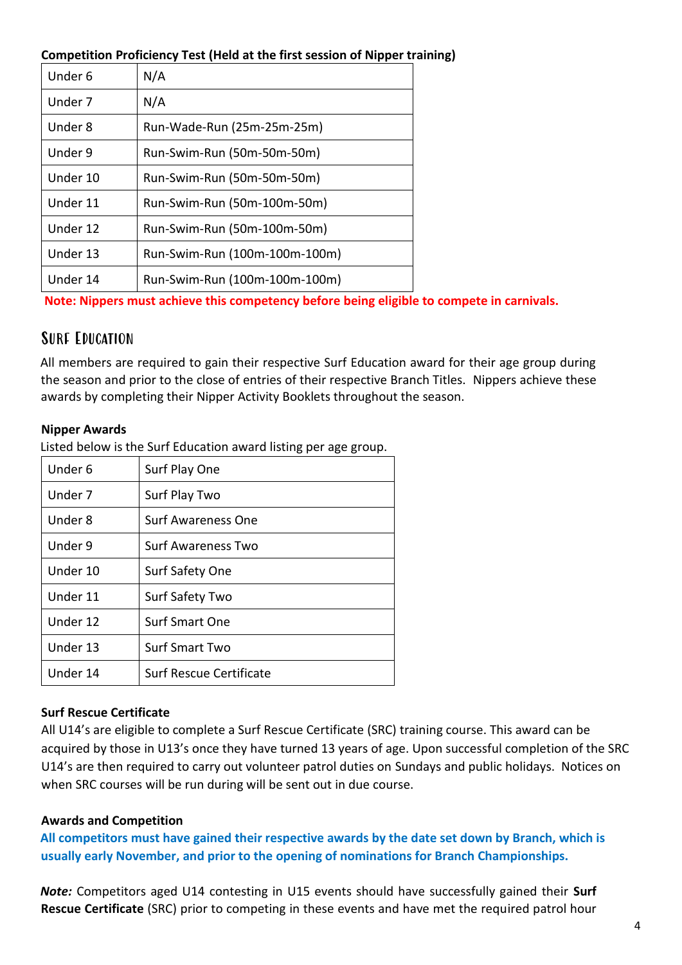#### **Competition Proficiency Test (Held at the first session of Nipper training)**

| Under 6  | N/A                           |
|----------|-------------------------------|
| Under 7  | N/A                           |
| Under 8  | Run-Wade-Run (25m-25m-25m)    |
| Under 9  | Run-Swim-Run (50m-50m-50m)    |
| Under 10 | Run-Swim-Run (50m-50m-50m)    |
| Under 11 | Run-Swim-Run (50m-100m-50m)   |
| Under 12 | Run-Swim-Run (50m-100m-50m)   |
| Under 13 | Run-Swim-Run (100m-100m-100m) |
| Under 14 | Run-Swim-Run (100m-100m-100m) |

**Note: Nippers must achieve this competency before being eligible to compete in carnivals.** 

## Surf Education

All members are required to gain their respective Surf Education award for their age group during the season and prior to the close of entries of their respective Branch Titles. Nippers achieve these awards by completing their Nipper Activity Booklets throughout the season.

#### **Nipper Awards**

Listed below is the Surf Education award listing per age group.

| Under 6  | Surf Play One                  |
|----------|--------------------------------|
| Under 7  | Surf Play Two                  |
| Under 8  | Surf Awareness One             |
| Under 9  | <b>Surf Awareness Two</b>      |
| Under 10 | <b>Surf Safety One</b>         |
| Under 11 | Surf Safety Two                |
| Under 12 | <b>Surf Smart One</b>          |
| Under 13 | <b>Surf Smart Two</b>          |
| Under 14 | <b>Surf Rescue Certificate</b> |

## **Surf Rescue Certificate**

All U14's are eligible to complete a Surf Rescue Certificate (SRC) training course. This award can be acquired by those in U13's once they have turned 13 years of age. Upon successful completion of the SRC U14's are then required to carry out volunteer patrol duties on Sundays and public holidays. Notices on when SRC courses will be run during will be sent out in due course.

## **Awards and Competition**

**All competitors must have gained their respective awards by the date set down by Branch, which is usually early November, and prior to the opening of nominations for Branch Championships.**

*Note:* Competitors aged U14 contesting in U15 events should have successfully gained their **Surf Rescue Certificate** (SRC) prior to competing in these events and have met the required patrol hour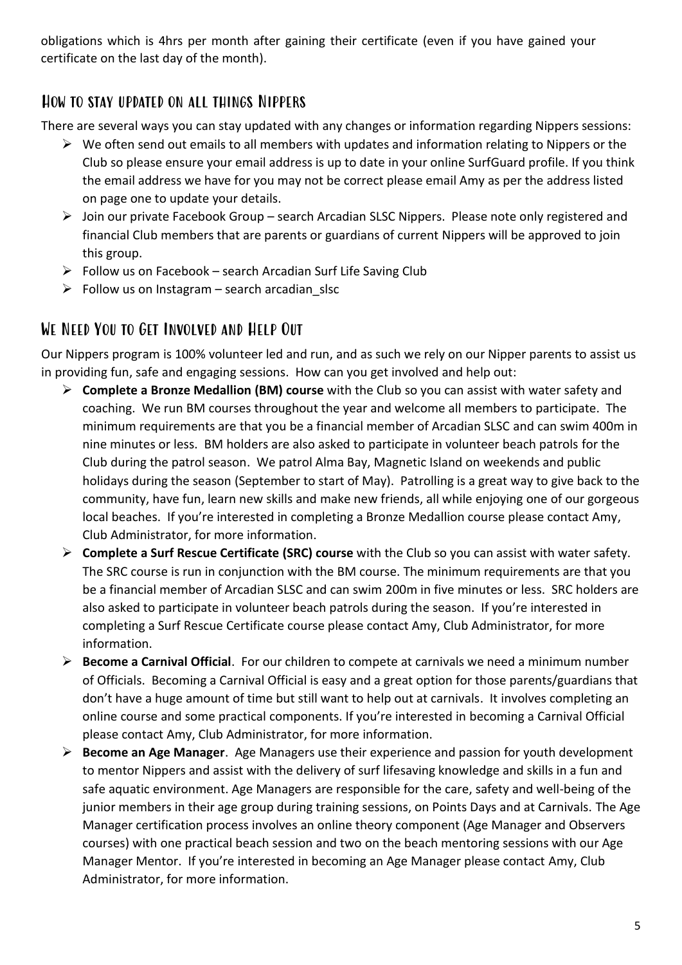obligations which is 4hrs per month after gaining their certificate (even if you have gained your certificate on the last day of the month).

# How to stay updated on all things Nippers

There are several ways you can stay updated with any changes or information regarding Nippers sessions:

- $\triangleright$  We often send out emails to all members with updates and information relating to Nippers or the Club so please ensure your email address is up to date in your online SurfGuard profile. If you think the email address we have for you may not be correct please email Amy as per the address listed on page one to update your details.
- ➢ Join our private Facebook Group search Arcadian SLSC Nippers. Please note only registered and financial Club members that are parents or guardians of current Nippers will be approved to join this group.
- $\triangleright$  Follow us on Facebook search Arcadian Surf Life Saving Club
- $\triangleright$  Follow us on Instagram search arcadian slsc

## We Need You to Get Involved and Help Out

Our Nippers program is 100% volunteer led and run, and as such we rely on our Nipper parents to assist us in providing fun, safe and engaging sessions. How can you get involved and help out:

- ➢ **Complete a Bronze Medallion (BM) course** with the Club so you can assist with water safety and coaching. We run BM courses throughout the year and welcome all members to participate. The minimum requirements are that you be a financial member of Arcadian SLSC and can swim 400m in nine minutes or less. BM holders are also asked to participate in volunteer beach patrols for the Club during the patrol season. We patrol Alma Bay, Magnetic Island on weekends and public holidays during the season (September to start of May). Patrolling is a great way to give back to the community, have fun, learn new skills and make new friends, all while enjoying one of our gorgeous local beaches. If you're interested in completing a Bronze Medallion course please contact Amy, Club Administrator, for more information.
- ➢ **Complete a Surf Rescue Certificate (SRC) course** with the Club so you can assist with water safety. The SRC course is run in conjunction with the BM course. The minimum requirements are that you be a financial member of Arcadian SLSC and can swim 200m in five minutes or less. SRC holders are also asked to participate in volunteer beach patrols during the season. If you're interested in completing a Surf Rescue Certificate course please contact Amy, Club Administrator, for more information.
- ➢ **Become a Carnival Official**. For our children to compete at carnivals we need a minimum number of Officials. Becoming a Carnival Official is easy and a great option for those parents/guardians that don't have a huge amount of time but still want to help out at carnivals. It involves completing an online course and some practical components. If you're interested in becoming a Carnival Official please contact Amy, Club Administrator, for more information.
- ➢ **Become an Age Manager**. Age Managers use their experience and passion for youth development to mentor Nippers and assist with the delivery of surf lifesaving knowledge and skills in a fun and safe aquatic environment. Age Managers are responsible for the care, safety and well-being of the junior members in their age group during training sessions, on Points Days and at Carnivals. The Age Manager certification process involves an online theory component (Age Manager and Observers courses) with one practical beach session and two on the beach mentoring sessions with our Age Manager Mentor. If you're interested in becoming an Age Manager please contact Amy, Club Administrator, for more information.